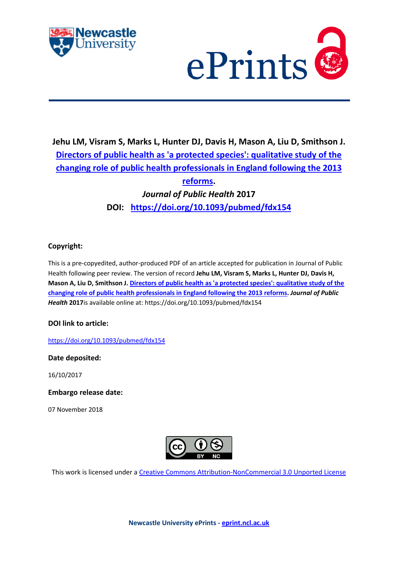



**Jehu LM, Visram S, Marks L, Hunter DJ, Davis H, Mason A, Liu D, Smithson J. [Directors of public health as 'a protected species': qualitative study of the](https://myimpact.ncl.ac.uk/ViewPublication.aspx?id=241556)  changing role of public [health professionals in England following the 2013](https://myimpact.ncl.ac.uk/ViewPublication.aspx?id=241556)  [reforms.](https://myimpact.ncl.ac.uk/ViewPublication.aspx?id=241556)** *Journal of Public Health* **2017 DOI: <https://doi.org/10.1093/pubmed/fdx154>**

## **Copyright:**

This is a pre-copyedited, author-produced PDF of an article accepted for publication in Journal of Public Health following peer review. The version of record **Jehu LM, Visram S, Marks L, Hunter DJ, Davis H, Mason A, Liu D, Smithson J. [Directors of public health as 'a protected species': qualitative study of the](https://myimpact.ncl.ac.uk/ViewPublication.aspx?id=241556)  changing role of public [health professionals in England following the 2013 reforms.](https://myimpact.ncl.ac.uk/ViewPublication.aspx?id=241556)** *Journal of Public Health* **2017**is available online at: https://doi.org/10.1093/pubmed/fdx154

## **DOI link to article:**

<https://doi.org/10.1093/pubmed/fdx154>

## **Date deposited:**

16/10/2017

**Embargo release date:**

07 November 2018



This work is licensed under a [Creative Commons Attribution-NonCommercial 3.0 Unported License](http://creativecommons.org/licenses/by-nc/3.0/deed.en_GB)

**Newcastle University ePrints - [eprint.ncl.ac.uk](http://eprint.ncl.ac.uk/)**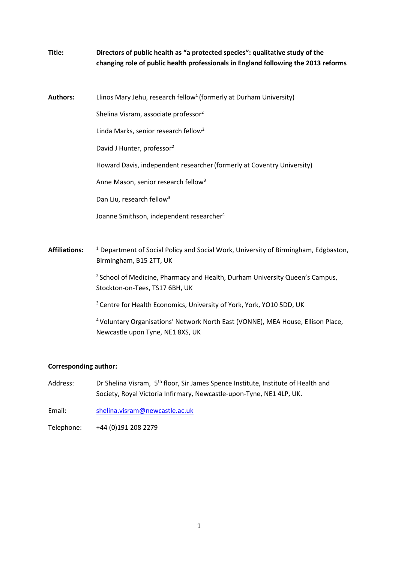**Title: Directors of public health as "a protected species": qualitative study of the changing role of public health professionals in England following the 2013 reforms**

Authors: Llinos Mary Jehu, research fellow<sup>1</sup> (formerly at Durham University)

Shelina Visram, associate professor<sup>2</sup>

Linda Marks, senior research fellow<sup>2</sup>

David J Hunter, professor<sup>2</sup>

Howard Davis, independent researcher(formerly at Coventry University)

Anne Mason, senior research fellow<sup>3</sup>

Dan Liu, research fellow<sup>3</sup>

Joanne Smithson, independent researcher<sup>4</sup>

**Affiliations:** <sup>1</sup> Department of Social Policy and Social Work, University of Birmingham, Edgbaston, Birmingham, B15 2TT, UK

> <sup>2</sup> School of Medicine, Pharmacy and Health, Durham University Queen's Campus, Stockton-on-Tees, TS17 6BH, UK

<sup>3</sup> Centre for Health Economics, University of York, York, YO10 5DD, UK

<sup>4</sup>Voluntary Organisations' Network North East (VONNE), MEA House, Ellison Place, Newcastle upon Tyne, NE1 8XS, UK

#### **Corresponding author:**

Address: Dr Shelina Visram, 5<sup>th</sup> floor, Sir James Spence Institute, Institute of Health and Society, Royal Victoria Infirmary, Newcastle-upon-Tyne, NE1 4LP, UK.

Email: [shelina.visram@newcastle.ac.uk](mailto:shelina.visram@newcastle.ac.uk)

Telephone: +44 (0)191 208 2279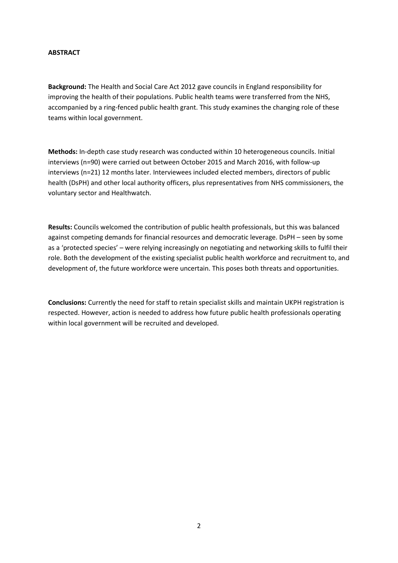#### **ABSTRACT**

**Background:** The Health and Social Care Act 2012 gave councils in England responsibility for improving the health of their populations. Public health teams were transferred from the NHS, accompanied by a ring-fenced public health grant. This study examines the changing role of these teams within local government.

**Methods:** In-depth case study research was conducted within 10 heterogeneous councils. Initial interviews (n=90) were carried out between October 2015 and March 2016, with follow-up interviews (n=21) 12 months later. Interviewees included elected members, directors of public health (DsPH) and other local authority officers, plus representatives from NHS commissioners, the voluntary sector and Healthwatch.

**Results:** Councils welcomed the contribution of public health professionals, but this was balanced against competing demands for financial resources and democratic leverage. DsPH – seen by some as a 'protected species' – were relying increasingly on negotiating and networking skills to fulfil their role. Both the development of the existing specialist public health workforce and recruitment to, and development of, the future workforce were uncertain. This poses both threats and opportunities.

**Conclusions:** Currently the need for staff to retain specialist skills and maintain UKPH registration is respected. However, action is needed to address how future public health professionals operating within local government will be recruited and developed.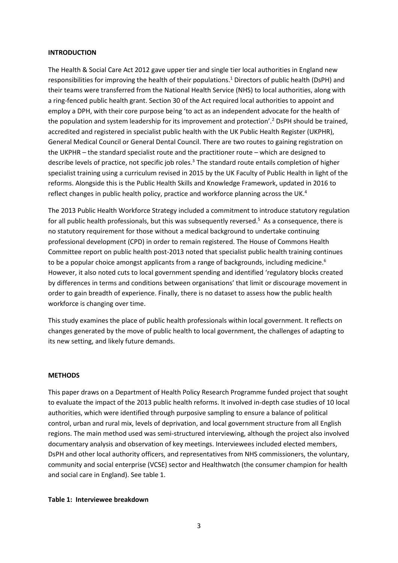#### **INTRODUCTION**

The Health & Social Care Act 2012 gave upper tier and single tier local authorities in England new responsibilities for improving the health of their populations[.](#page-12-0) <sup>1</sup> Directors of public health (DsPH) and their teams were transferred from the National Health Service (NHS) to local authorities, along with a ring-fenced public health grant. Section 30 of the Act required local authorities to appoint and employ a DPH, with their core purpose being 'to act as an independent advocate for the health of the population and system leadership for its improvement and protection'.[2](#page-12-1) DsPH should be trained, accredited and registered in specialist public health with the UK Public Health Register (UKPHR), General Medical Council or General Dental Council. There are two routes to gaining registration on the UKPHR – the standard specialist route and the practitioner route – which are designed to describe levels of practice, not specific job role[s.](#page-12-2)<sup>3</sup> The standard route entails completion of higher specialist training using a curriculum revised in 2015 by the UK Faculty of Public Health in light of the reforms. Alongside this is the Public Health Skills and Knowledge Framework, updated in 2016 to reflect changes in public health policy, practice and workforce planning across the UK[.](#page-12-3)<sup>4</sup>

The 2013 Public Health Workforce Strategy included a commitment to introduce statutory regulation for all public health professionals, but this was subsequently reversed[.](#page-12-4)<sup>5</sup> As a consequence, there is no statutory requirement for those without a medical background to undertake continuing professional development (CPD) in order to remain registered. The House of Commons Health Committee report on public health post-2013 noted that specialist public health training continues to be a popular choice amongst applicants from a range of backgrounds, including medicine[.](#page-12-5)<sup>6</sup> However, it also noted cuts to local government spending and identified 'regulatory blocks created by differences in terms and conditions between organisations' that limit or discourage movement in order to gain breadth of experience. Finally, there is no dataset to assess how the public health workforce is changing over time.

This study examines the place of public health professionals within local government. It reflects on changes generated by the move of public health to local government, the challenges of adapting to its new setting, and likely future demands.

### **METHODS**

This paper draws on a Department of Health Policy Research Programme funded project that sought to evaluate the impact of the 2013 public health reforms. It involved in-depth case studies of 10 local authorities, which were identified through purposive sampling to ensure a balance of political control, urban and rural mix, levels of deprivation, and local government structure from all English regions. The main method used was semi-structured interviewing, although the project also involved documentary analysis and observation of key meetings. Interviewees included elected members, DsPH and other local authority officers, and representatives from NHS commissioners, the voluntary, community and social enterprise (VCSE) sector and Healthwatch (the consumer champion for health and social care in England). See table 1.

#### **Table 1: Interviewee breakdown**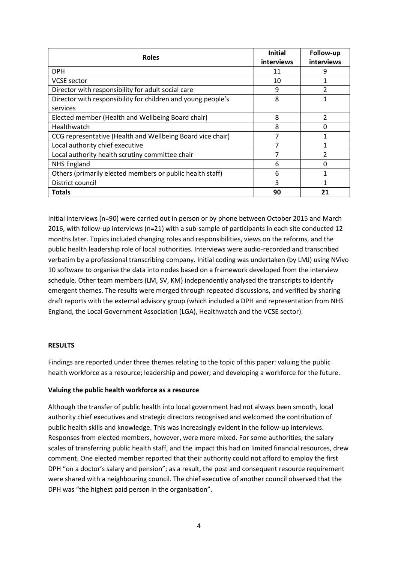| <b>Roles</b>                                                 | <b>Initial</b><br><b>interviews</b> | Follow-up<br>interviews |
|--------------------------------------------------------------|-------------------------------------|-------------------------|
| <b>DPH</b>                                                   | 11                                  | 9                       |
| <b>VCSE</b> sector                                           | 10                                  | 1                       |
| Director with responsibility for adult social care           | 9                                   | $\mathfrak z$           |
| Director with responsibility for children and young people's | 8                                   | 1                       |
| services                                                     |                                     |                         |
| Elected member (Health and Wellbeing Board chair)            | 8                                   | 2                       |
| <b>Healthwatch</b>                                           | 8                                   | 0                       |
| CCG representative (Health and Wellbeing Board vice chair)   | 7                                   | 1                       |
| Local authority chief executive                              | 7                                   | 1                       |
| Local authority health scrutiny committee chair              |                                     | 2                       |
| <b>NHS England</b>                                           | 6                                   | 0                       |
| Others (primarily elected members or public health staff)    | 6                                   | 1                       |
| District council                                             | 3                                   |                         |
| <b>Totals</b>                                                | 90                                  | 21                      |

Initial interviews (n=90) were carried out in person or by phone between October 2015 and March 2016, with follow-up interviews (n=21) with a sub-sample of participants in each site conducted 12 months later. Topics included changing roles and responsibilities, views on the reforms, and the public health leadership role of local authorities. Interviews were audio-recorded and transcribed verbatim by a professional transcribing company. Initial coding was undertaken (by LMJ) using NVivo 10 software to organise the data into nodes based on a framework developed from the interview schedule. Other team members (LM, SV, KM) independently analysed the transcripts to identify emergent themes. The results were merged through repeated discussions, and verified by sharing draft reports with the external advisory group (which included a DPH and representation from NHS England, the Local Government Association (LGA), Healthwatch and the VCSE sector).

### **RESULTS**

Findings are reported under three themes relating to the topic of this paper: valuing the public health workforce as a resource; leadership and power; and developing a workforce for the future.

### **Valuing the public health workforce as a resource**

Although the transfer of public health into local government had not always been smooth, local authority chief executives and strategic directors recognised and welcomed the contribution of public health skills and knowledge. This was increasingly evident in the follow-up interviews. Responses from elected members, however, were more mixed. For some authorities, the salary scales of transferring public health staff, and the impact this had on limited financial resources, drew comment. One elected member reported that their authority could not afford to employ the first DPH "on a doctor's salary and pension"; as a result, the post and consequent resource requirement were shared with a neighbouring council. The chief executive of another council observed that the DPH was "the highest paid person in the organisation".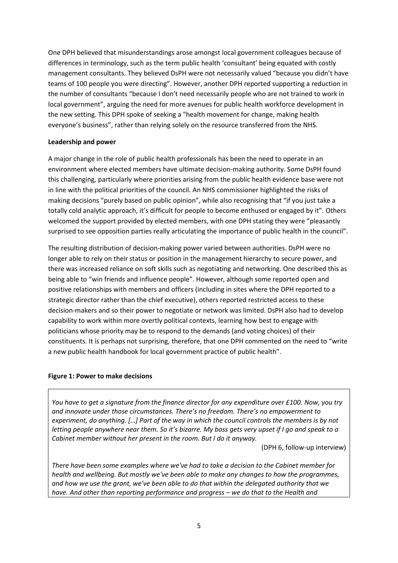One DPH believed that misunderstandings arose amongst local government colleagues because of differences in terminology, such as the term public health 'consultant' being equated with costly management consultants. They believed DsPH were not necessarily valued "because you didn't have teams of 100 people you were directing". However, another DPH reported supporting a reduction in the number of consultants "because I don't need necessarily people who are not trained to work in local government", arguing the need for more avenues for public health workforce development in the new setting. This DPH spoke of seeking a "health movement for change, making health everyone's business", rather than relying solely on the resource transferred from the NHS.

### **Leadership and power**

A major change in the role of public health professionals has been the need to operate in an environment where elected members have ultimate decision-making authority. Some DsPH found this challenging, particularly where priorities arising from the public health evidence base were not in line with the political priorities of the council. An NHS commissioner highlighted the risks of making decisions "purely based on public opinion", while also recognising that "if you just take a totally cold analytic approach, it's difficult for people to become enthused or engaged by it". Others welcomed the support provided by elected members, with one DPH stating they were "pleasantly surprised to see opposition parties really articulating the importance of public health in the council".

The resulting distribution of decision-making power varied between authorities. DsPH were no longer able to rely on their status or position in the management hierarchy to secure power, and there was increased reliance on soft skills such as negotiating and networking. One described this as being able to "win friends and influence people". However, although some reported open and positive relationships with members and officers (including in sites where the DPH reported to a strategic director rather than the chief executive), others reported restricted access to these decision-makers and so their power to negotiate or network was limited. DsPH also had to develop capability to work within more overtly political contexts, learning how best to engage with politicians whose priority may be to respond to the demands (and voting choices) of their constituents. It is perhaps not surprising, therefore, that one DPH commented on the need to "write a new public health handbook for local government practice of public health".

## **Figure 1: Power to make decisions**

*You have to get a signature from the finance director for any expenditure over £100. Now, you try and innovate under those circumstances. There's no freedom. There's no empowerment to experiment, do anything. […] Part of the way in which the council controls the members is by not letting people anywhere near them. So it's bizarre. My boss gets very upset if I go and speak to a Cabinet member without her present in the room. But I do it anyway.* 

(DPH 6, follow-up interview)

*There have been some examples where we've had to take a decision to the Cabinet member for health and wellbeing. But mostly we've been able to make any changes to how the programmes, and how we use the grant, we've been able to do that within the delegated authority that we have. And other than reporting performance and progress – we do that to the Health and*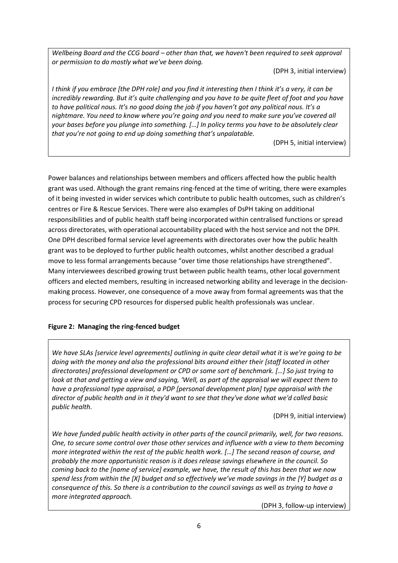*Wellbeing Board and the CCG board – other than that, we haven't been required to seek approval or permission to do mostly what we've been doing.*

(DPH 3, initial interview)

*I think if you embrace [the DPH role] and you find it interesting then I think it's a very, it can be incredibly rewarding. But it's quite challenging and you have to be quite fleet of foot and you have to have political nous. It's no good doing the job if you haven't got any political nous. It's a nightmare. You need to know where you're going and you need to make sure you've covered all your bases before you plunge into something. […] In policy terms you have to be absolutely clear that you're not going to end up doing something that's unpalatable.*

(DPH 5, initial interview)

Power balances and relationships between members and officers affected how the public health grant was used. Although the grant remains ring-fenced at the time of writing, there were examples of it being invested in wider services which contribute to public health outcomes, such as children's centres or Fire & Rescue Services. There were also examples of DsPH taking on additional responsibilities and of public health staff being incorporated within centralised functions or spread across directorates, with operational accountability placed with the host service and not the DPH. One DPH described formal service level agreements with directorates over how the public health grant was to be deployed to further public health outcomes, whilst another described a gradual move to less formal arrangements because "over time those relationships have strengthened". Many interviewees described growing trust between public health teams, other local government officers and elected members, resulting in increased networking ability and leverage in the decisionmaking process. However, one consequence of a move away from formal agreements was that the process for securing CPD resources for dispersed public health professionals was unclear.

## **Figure 2: Managing the ring-fenced budget**

*We have SLAs [service level agreements] outlining in quite clear detail what it is we're going to be doing with the money and also the professional bits around either their [staff located in other directorates] professional development or CPD or some sort of benchmark. […] So just trying to look at that and getting a view and saying, 'Well, as part of the appraisal we will expect them to have a professional type appraisal, a PDP [personal development plan] type appraisal with the director of public health and in it they'd want to see that they've done what we'd called basic public health.*

(DPH 9, initial interview)

*We have funded public health activity in other parts of the council primarily, well, for two reasons. One, to secure some control over those other services and influence with a view to them becoming more integrated within the rest of the public health work. […] The second reason of course, and probably the more opportunistic reason is it does release savings elsewhere in the council. So coming back to the [name of service] example, we have, the result of this has been that we now spend less from within the [X] budget and so effectively we've made savings in the [Y] budget as a consequence of this. So there is a contribution to the council savings as well as trying to have a more integrated approach.* 

(DPH 3, follow-up interview)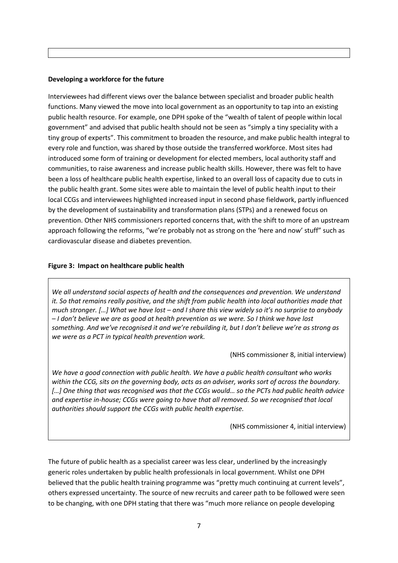#### **Developing a workforce for the future**

Interviewees had different views over the balance between specialist and broader public health functions. Many viewed the move into local government as an opportunity to tap into an existing public health resource. For example, one DPH spoke of the "wealth of talent of people within local government" and advised that public health should not be seen as "simply a tiny speciality with a tiny group of experts". This commitment to broaden the resource, and make public health integral to every role and function, was shared by those outside the transferred workforce. Most sites had introduced some form of training or development for elected members, local authority staff and communities, to raise awareness and increase public health skills. However, there was felt to have been a loss of healthcare public health expertise, linked to an overall loss of capacity due to cuts in the public health grant. Some sites were able to maintain the level of public health input to their local CCGs and interviewees highlighted increased input in second phase fieldwork, partly influenced by the development of sustainability and transformation plans (STPs) and a renewed focus on prevention. Other NHS commissioners reported concerns that, with the shift to more of an upstream approach following the reforms, "we're probably not as strong on the 'here and now' stuff" such as cardiovascular disease and diabetes prevention.

### **Figure 3: Impact on healthcare public health**

*We all understand social aspects of health and the consequences and prevention. We understand it. So that remains really positive, and the shift from public health into local authorities made that much stronger. […] What we have lost – and I share this view widely so it's no surprise to anybody – I don't believe we are as good at health prevention as we were. So I think we have lost something. And we've recognised it and we're rebuilding it, but I don't believe we're as strong as we were as a PCT in typical health prevention work.*

(NHS commissioner 8, initial interview)

*We have a good connection with public health. We have a public health consultant who works within the CCG, sits on the governing body, acts as an adviser, works sort of across the boundary. […] One thing that was recognised was that the CCGs would… so the PCTs had public health advice and expertise in-house; CCGs were going to have that all removed. So we recognised that local authorities should support the CCGs with public health expertise.* 

(NHS commissioner 4, initial interview)

The future of public health as a specialist career was less clear, underlined by the increasingly generic roles undertaken by public health professionals in local government. Whilst one DPH believed that the public health training programme was "pretty much continuing at current levels", others expressed uncertainty. The source of new recruits and career path to be followed were seen to be changing, with one DPH stating that there was "much more reliance on people developing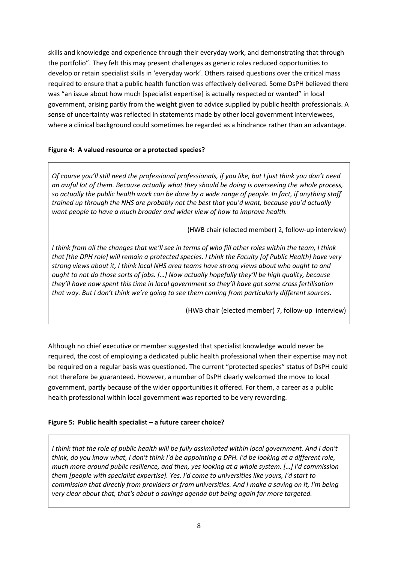skills and knowledge and experience through their everyday work, and demonstrating that through the portfolio". They felt this may present challenges as generic roles reduced opportunities to develop or retain specialist skills in 'everyday work'. Others raised questions over the critical mass required to ensure that a public health function was effectively delivered. Some DsPH believed there was "an issue about how much [specialist expertise] is actually respected or wanted" in local government, arising partly from the weight given to advice supplied by public health professionals. A sense of uncertainty was reflected in statements made by other local government interviewees, where a clinical background could sometimes be regarded as a hindrance rather than an advantage.

## **Figure 4: A valued resource or a protected species?**

*Of course you'll still need the professional professionals, if you like, but I just think you don't need an awful lot of them. Because actually what they should be doing is overseeing the whole process, so actually the public health work can be done by a wide range of people. In fact, if anything staff trained up through the NHS are probably not the best that you'd want, because you'd actually want people to have a much broader and wider view of how to improve health.* 

(HWB chair (elected member) 2, follow-up interview)

*I think from all the changes that we'll see in terms of who fill other roles within the team, I think that [the DPH role] will remain a protected species. I think the Faculty [of Public Health] have very strong views about it, I think local NHS area teams have strong views about who ought to and ought to not do those sorts of jobs. […] Now actually hopefully they'll be high quality, because they'll have now spent this time in local government so they'll have got some cross fertilisation that way. But I don't think we're going to see them coming from particularly different sources.*

(HWB chair (elected member) 7, follow-up interview)

Although no chief executive or member suggested that specialist knowledge would never be required, the cost of employing a dedicated public health professional when their expertise may not be required on a regular basis was questioned. The current "protected species" status of DsPH could not therefore be guaranteed. However, a number of DsPH clearly welcomed the move to local government, partly because of the wider opportunities it offered. For them, a career as a public health professional within local government was reported to be very rewarding.

# **Figure 5: Public health specialist – a future career choice?**

*I think that the role of public health will be fully assimilated within local government. And I don't think, do you know what, I don't think I'd be appointing a DPH. I'd be looking at a different role, much more around public resilience, and then, yes looking at a whole system. […] I'd commission them [people with specialist expertise]. Yes. I'd come to universities like yours, I'd start to commission that directly from providers or from universities. And I make a saving on it, I'm being very clear about that, that's about a savings agenda but being again far more targeted.*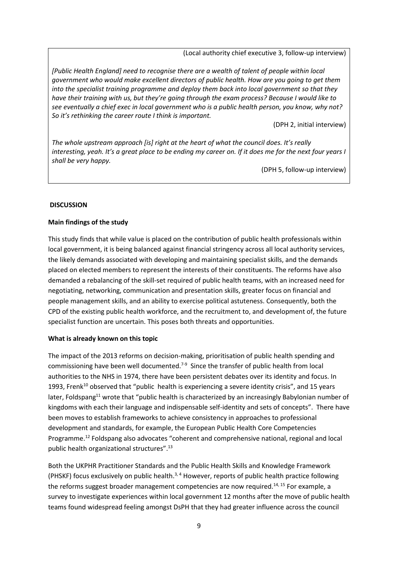(Local authority chief executive 3, follow-up interview)

*[Public Health England] need to recognise there are a wealth of talent of people within local government who would make excellent directors of public health. How are you going to get them into the specialist training programme and deploy them back into local government so that they have their training with us, but they're going through the exam process? Because I would like to see eventually a chief exec in local government who is a public health person, you know, why not? So it's rethinking the career route I think is important.* 

(DPH 2, initial interview)

*The whole upstream approach [is] right at the heart of what the council does. It's really interesting, yeah. It's a great place to be ending my career on. If it does me for the next four years I shall be very happy.* 

(DPH 5, follow-up interview)

#### **DISCUSSION**

#### **Main findings of the study**

This study finds that while value is placed on the contribution of public health professionals within local government, it is being balanced against financial stringency across all local authority services, the likely demands associated with developing and maintaining specialist skills, and the demands placed on elected members to represent the interests of their constituents. The reforms have also demanded a rebalancing of the skill-set required of public health teams, with an increased need for negotiating, networking, communication and presentation skills, greater focus on financial and people management skills, and an ability to exercise political astuteness. Consequently, both the CPD of the existing public health workforce, and the recruitment to, and development of, the future specialist function are uncertain. This poses both threats and opportunities.

### **What is already known on this topic**

The impact of the 2013 reforms on decision-making, prioritisation of public health spending and commissioning have been well documented.<sup>[7-9](#page-12-6)</sup> Since the transfer of public health from local authorities to the NHS in 1974, there have been persistent debates over its identity and focus. In 1993, Frenk<sup>[10](#page-12-7)</sup> observed that "public health is experiencing a severe identity crisis", and 15 years later, Foldspang<sup>[11](#page-12-8)</sup> wrote that "public health is characterized by an increasingly Babylonian number of kingdoms with each their language and indispensable self-identity and sets of concepts". There have been moves to establish frameworks to achieve consistency in approaches to professional development and standards, for example, the European Public Health Core Competencies Programme. [12](#page-12-9) Foldspang also advocates "coherent and comprehensive national, regional and local public health organizational structures". [13](#page-12-10)

Both the UKPHR Practitioner Standards and the Public Health Skills and Knowledge Framework (PHSKF) focus exclusively on public health.<sup>[3,](#page-12-2) [4](#page-12-3)</sup> However, reports of public health practice following the reforms suggest broader management competencies are now required.<sup>[14,](#page-12-11) [15](#page-12-12)</sup> For example, a survey to investigate experiences within local government 12 months after the move of public health teams found widespread feeling amongst DsPH that they had greater influence across the council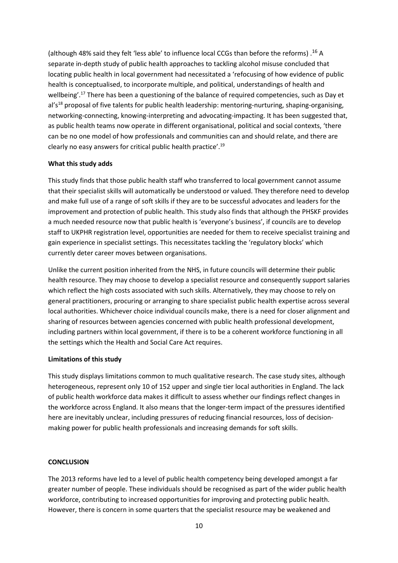(although 48% said they felt 'less able' to influence local CCGs than before the reforms).<sup>[16](#page-12-13)</sup> A separate in-depth study of public health approaches to tackling alcohol misuse concluded that locating public health in local government had necessitated a 'refocusing of how evidence of public health is conceptualised, to incorporate multiple, and political, understandings of health and wellbeing'.<sup>[17](#page-12-14)</sup> There has been a questioning of the balance of required competencies, such as Day et al's<sup>[18](#page-12-15)</sup> proposal of five talents for public health leadership: mentoring-nurturing, shaping-organising, networking-connecting, knowing-interpreting and advocating-impacting. It has been suggested that, as public health teams now operate in different organisational, political and social contexts, 'there can be no one model of how professionals and communities can and should relate, and there are clearly no easy answers for critical public health practice'. [19](#page-12-16)

### **What this study adds**

This study finds that those public health staff who transferred to local government cannot assume that their specialist skills will automatically be understood or valued. They therefore need to develop and make full use of a range of soft skills if they are to be successful advocates and leaders for the improvement and protection of public health. This study also finds that although the PHSKF provides a much needed resource now that public health is 'everyone's business', if councils are to develop staff to UKPHR registration level, opportunities are needed for them to receive specialist training and gain experience in specialist settings. This necessitates tackling the 'regulatory blocks' which currently deter career moves between organisations.

Unlike the current position inherited from the NHS, in future councils will determine their public health resource. They may choose to develop a specialist resource and consequently support salaries which reflect the high costs associated with such skills. Alternatively, they may choose to rely on general practitioners, procuring or arranging to share specialist public health expertise across several local authorities. Whichever choice individual councils make, there is a need for closer alignment and sharing of resources between agencies concerned with public health professional development, including partners within local government, if there is to be a coherent workforce functioning in all the settings which the Health and Social Care Act requires.

## **Limitations of this study**

This study displays limitations common to much qualitative research. The case study sites, although heterogeneous, represent only 10 of 152 upper and single tier local authorities in England. The lack of public health workforce data makes it difficult to assess whether our findings reflect changes in the workforce across England. It also means that the longer-term impact of the pressures identified here are inevitably unclear, including pressures of reducing financial resources, loss of decisionmaking power for public health professionals and increasing demands for soft skills.

### **CONCLUSION**

The 2013 reforms have led to a level of public health competency being developed amongst a far greater number of people. These individuals should be recognised as part of the wider public health workforce, contributing to increased opportunities for improving and protecting public health. However, there is concern in some quarters that the specialist resource may be weakened and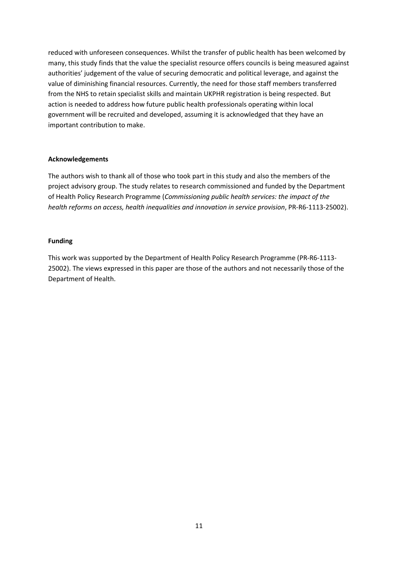reduced with unforeseen consequences. Whilst the transfer of public health has been welcomed by many, this study finds that the value the specialist resource offers councils is being measured against authorities' judgement of the value of securing democratic and political leverage, and against the value of diminishing financial resources. Currently, the need for those staff members transferred from the NHS to retain specialist skills and maintain UKPHR registration is being respected. But action is needed to address how future public health professionals operating within local government will be recruited and developed, assuming it is acknowledged that they have an important contribution to make.

### **Acknowledgements**

The authors wish to thank all of those who took part in this study and also the members of the project advisory group. The study relates to research commissioned and funded by the Department of Health Policy Research Programme (*Commissioning public health services: the impact of the health reforms on access, health inequalities and innovation in service provision*, PR-R6-1113-25002).

#### **Funding**

This work was supported by the Department of Health Policy Research Programme (PR-R6-1113- 25002). The views expressed in this paper are those of the authors and not necessarily those of the Department of Health.